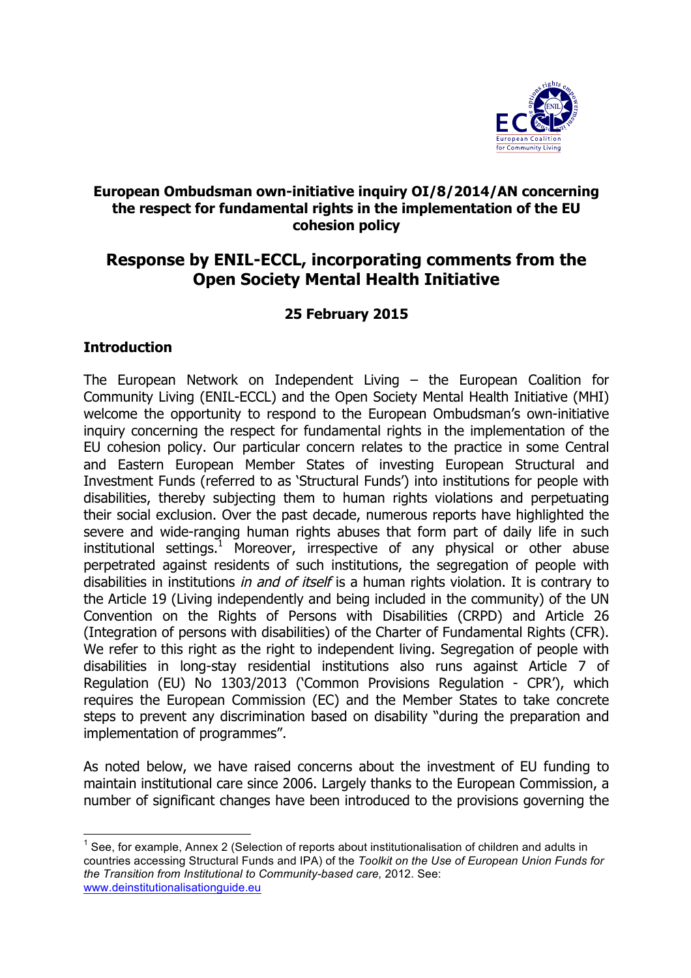

# **European Ombudsman own-initiative inquiry OI/8/2014/AN concerning the respect for fundamental rights in the implementation of the EU cohesion policy**

# **Response by ENIL-ECCL, incorporating comments from the Open Society Mental Health Initiative**

# **25 February 2015**

#### **Introduction**

The European Network on Independent Living – the European Coalition for Community Living (ENIL-ECCL) and the Open Society Mental Health Initiative (MHI) welcome the opportunity to respond to the European Ombudsman's own-initiative inquiry concerning the respect for fundamental rights in the implementation of the EU cohesion policy. Our particular concern relates to the practice in some Central and Eastern European Member States of investing European Structural and Investment Funds (referred to as 'Structural Funds') into institutions for people with disabilities, thereby subjecting them to human rights violations and perpetuating their social exclusion. Over the past decade, numerous reports have highlighted the severe and wide-ranging human rights abuses that form part of daily life in such institutional settings.<sup>1</sup> Moreover, irrespective of any physical or other abuse perpetrated against residents of such institutions, the segregation of people with disabilities in institutions *in and of itself* is a human rights violation. It is contrary to the Article 19 (Living independently and being included in the community) of the UN Convention on the Rights of Persons with Disabilities (CRPD) and Article 26 (Integration of persons with disabilities) of the Charter of Fundamental Rights (CFR). We refer to this right as the right to independent living. Segregation of people with disabilities in long-stay residential institutions also runs against Article 7 of Regulation (EU) No 1303/2013 ('Common Provisions Regulation - CPR'), which requires the European Commission (EC) and the Member States to take concrete steps to prevent any discrimination based on disability "during the preparation and implementation of programmes".

As noted below, we have raised concerns about the investment of EU funding to maintain institutional care since 2006. Largely thanks to the European Commission, a number of significant changes have been introduced to the provisions governing the

 $1$  See, for example, Annex 2 (Selection of reports about institutionalisation of children and adults in countries accessing Structural Funds and IPA) of the *Toolkit on the Use of European Union Funds for the Transition from Institutional to Community-based care,* 2012. See: www.deinstitutionalisationguide.eu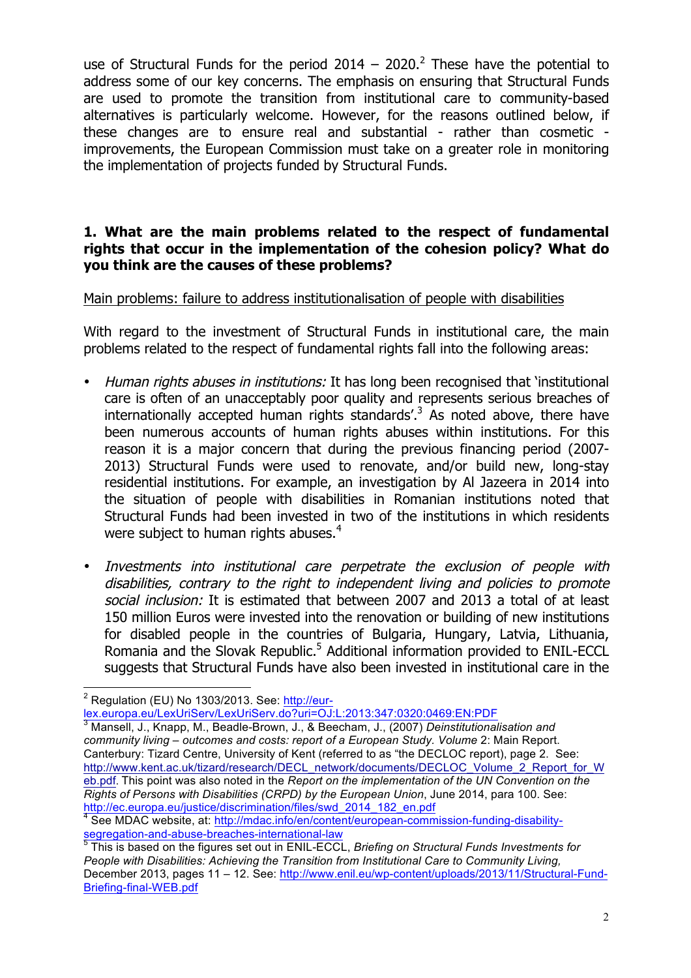use of Structural Funds for the period 2014 – 2020.<sup>2</sup> These have the potential to address some of our key concerns. The emphasis on ensuring that Structural Funds are used to promote the transition from institutional care to community-based alternatives is particularly welcome. However, for the reasons outlined below, if these changes are to ensure real and substantial - rather than cosmetic improvements, the European Commission must take on a greater role in monitoring the implementation of projects funded by Structural Funds.

#### **1. What are the main problems related to the respect of fundamental rights that occur in the implementation of the cohesion policy? What do you think are the causes of these problems?**

#### Main problems: failure to address institutionalisation of people with disabilities

With regard to the investment of Structural Funds in institutional care, the main problems related to the respect of fundamental rights fall into the following areas:

- Human rights abuses in institutions: It has long been recognised that 'institutional care is often of an unacceptably poor quality and represents serious breaches of internationally accepted human rights standards'.<sup>3</sup> As noted above, there have been numerous accounts of human rights abuses within institutions. For this reason it is a major concern that during the previous financing period (2007- 2013) Structural Funds were used to renovate, and/or build new, long-stay residential institutions. For example, an investigation by Al Jazeera in 2014 into the situation of people with disabilities in Romanian institutions noted that Structural Funds had been invested in two of the institutions in which residents were subject to human rights abuses.<sup>4</sup>
- Investments into institutional care perpetrate the exclusion of people with disabilities, contrary to the right to independent living and policies to promote social inclusion: It is estimated that between 2007 and 2013 a total of at least 150 million Euros were invested into the renovation or building of new institutions for disabled people in the countries of Bulgaria, Hungary, Latvia, Lithuania, Romania and the Slovak Republic.<sup>5</sup> Additional information provided to ENIL-ECCL suggests that Structural Funds have also been invested in institutional care in the

lex.europa.eu/LexUriServ/LexUriServ.do?uri=OJ:L:2013:347:0320:0469:EN:PDF

 $2$  Regulation (EU) No 1303/2013. See: http://eur-

<sup>3</sup> Mansell, J., Knapp, M., Beadle-Brown, J., & Beecham, J., (2007) *Deinstitutionalisation and community living – outcomes and costs: report of a European Study. Volume* 2: Main Report. Canterbury: Tizard Centre, University of Kent (referred to as "the DECLOC report), page 2. See: http://www.kent.ac.uk/tizard/research/DECL\_network/documents/DECLOC\_Volume\_2\_Report\_for\_W eb.pdf. This point was also noted in the *Report on the implementation of the UN Convention on the Rights of Persons with Disabilities (CRPD) by the European Union, June 2014, para 100. See:*<br>http://ec.europa.eu/justice/discrimination/files/swd 2014 182 en.pdf

<sup>&</sup>lt;sup>t</sup> See MDAC website, at: http://mdac.info/en/content/european-commission-funding-disabilitysegregation-and-abuse-breaches-international-law

<sup>5</sup> This is based on the figures set out in ENIL-ECCL, *Briefing on Structural Funds Investments for People with Disabilities: Achieving the Transition from Institutional Care to Community Living,*  December 2013, pages 11 – 12. See: http://www.enil.eu/wp-content/uploads/2013/11/Structural-Fund-Briefing-final-WEB.pdf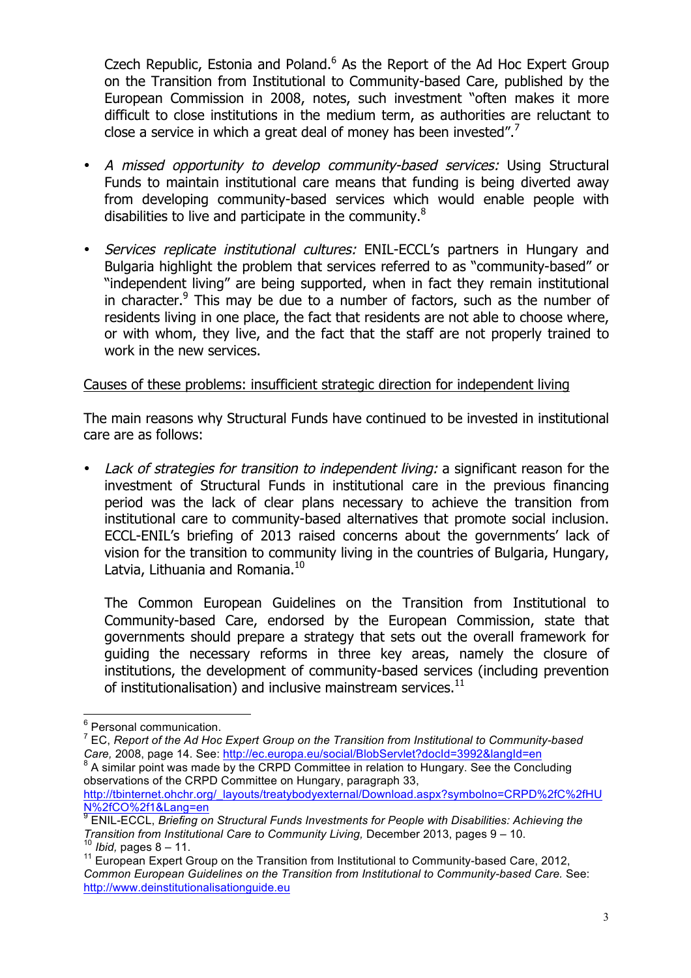Czech Republic, Estonia and Poland.<sup>6</sup> As the Report of the Ad Hoc Expert Group on the Transition from Institutional to Community-based Care, published by the European Commission in 2008, notes, such investment "often makes it more difficult to close institutions in the medium term, as authorities are reluctant to close a service in which a great deal of money has been invested".<sup>7</sup>

- A missed opportunity to develop community-based services: Using Structural Funds to maintain institutional care means that funding is being diverted away from developing community-based services which would enable people with disabilities to live and participate in the community.<sup>8</sup>
- Services replicate institutional cultures: ENIL-ECCL's partners in Hungary and Bulgaria highlight the problem that services referred to as "community-based" or "independent living" are being supported, when in fact they remain institutional in character. $9$  This may be due to a number of factors, such as the number of residents living in one place, the fact that residents are not able to choose where, or with whom, they live, and the fact that the staff are not properly trained to work in the new services.

# Causes of these problems: insufficient strategic direction for independent living

The main reasons why Structural Funds have continued to be invested in institutional care are as follows:

Lack of strategies for transition to independent living: a significant reason for the investment of Structural Funds in institutional care in the previous financing period was the lack of clear plans necessary to achieve the transition from institutional care to community-based alternatives that promote social inclusion. ECCL-ENIL's briefing of 2013 raised concerns about the governments' lack of vision for the transition to community living in the countries of Bulgaria, Hungary, Latvia, Lithuania and Romania.<sup>10</sup>

The Common European Guidelines on the Transition from Institutional to Community-based Care, endorsed by the European Commission, state that governments should prepare a strategy that sets out the overall framework for guiding the necessary reforms in three key areas, namely the closure of institutions, the development of community-based services (including prevention of institutionalisation) and inclusive mainstream services. $11$ 

 $^6$  Personal communication.<br> $^7$  EC *Report of the Ad Hoc* 

<sup>7</sup> EC, *Report of the Ad Hoc Expert Group on the Transition from Institutional to Community-based* 

*Care,* 2008, page 14. See: http://ec.europa.eu/social/BlobServlet?docId=3992&langId=en 8 A similar point was made by the CRPD Committee in relation to Hungary. See the Concluding observations of the CRPD Committee on Hungary, paragraph 33,

http://tbinternet.ohchr.org/\_layouts/treatybodyexternal/Download.aspx?symbolno=CRPD%2fC%2fHU N%2fCO%2f1&Lang=en

<sup>9</sup> ENIL-ECCL, *Briefing on Structural Funds Investments for People with Disabilities: Achieving the Transition from Institutional Care to Community Living,* December 2013, pages 9 – 10.

<sup>&</sup>lt;sup>10</sup> *Ibid,* pages 8 – 11.<br><sup>11</sup> European Expert Group on the Transition from Institutional to Community-based Care, 2012, *Common European Guidelines on the Transition from Institutional to Community-based Care.* See: http://www.deinstitutionalisationguide.eu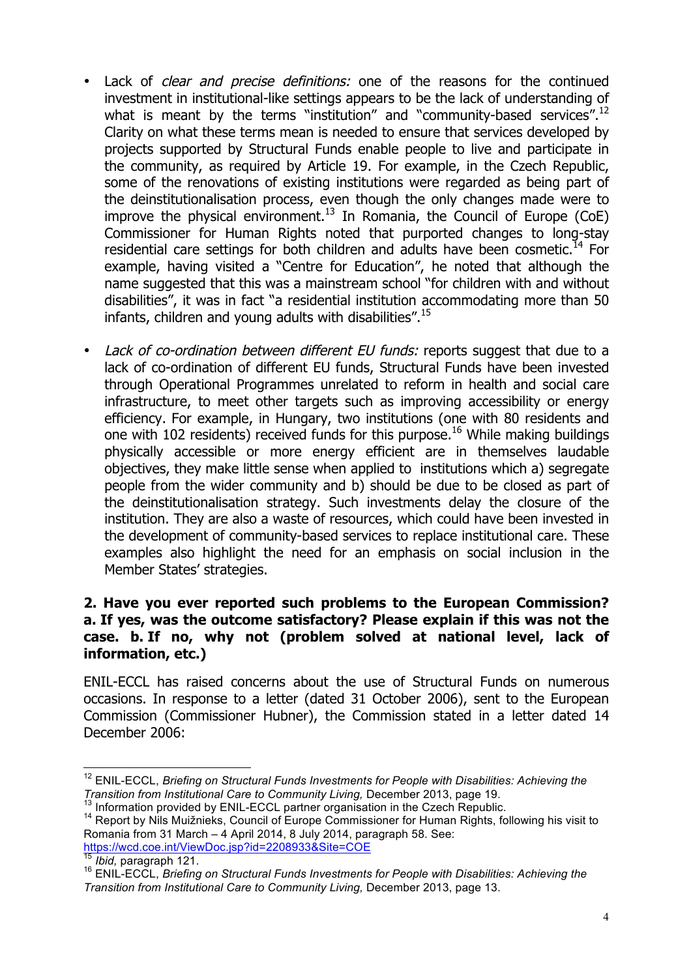- Lack of *clear and precise definitions:* one of the reasons for the continued investment in institutional-like settings appears to be the lack of understanding of what is meant by the terms "institution" and "community-based services".<sup>12</sup> Clarity on what these terms mean is needed to ensure that services developed by projects supported by Structural Funds enable people to live and participate in the community, as required by Article 19. For example, in the Czech Republic, some of the renovations of existing institutions were regarded as being part of the deinstitutionalisation process, even though the only changes made were to improve the physical environment.<sup>13</sup> In Romania, the Council of Europe (CoE) Commissioner for Human Rights noted that purported changes to long-stay residential care settings for both children and adults have been cosmetic.<sup>14</sup> For example, having visited a "Centre for Education", he noted that although the name suggested that this was a mainstream school "for children with and without disabilities", it was in fact "a residential institution accommodating more than 50 infants, children and young adults with disabilities".<sup>15</sup>
- Lack of co-ordination between different EU funds: reports suggest that due to a lack of co-ordination of different EU funds, Structural Funds have been invested through Operational Programmes unrelated to reform in health and social care infrastructure, to meet other targets such as improving accessibility or energy efficiency. For example, in Hungary, two institutions (one with 80 residents and one with 102 residents) received funds for this purpose.<sup>16</sup> While making buildings physically accessible or more energy efficient are in themselves laudable objectives, they make little sense when applied to institutions which a) segregate people from the wider community and b) should be due to be closed as part of the deinstitutionalisation strategy. Such investments delay the closure of the institution. They are also a waste of resources, which could have been invested in the development of community-based services to replace institutional care. These examples also highlight the need for an emphasis on social inclusion in the Member States' strategies.

#### **2. Have you ever reported such problems to the European Commission? a. If yes, was the outcome satisfactory? Please explain if this was not the case. b. If no, why not (problem solved at national level, lack of information, etc.)**

ENIL-ECCL has raised concerns about the use of Structural Funds on numerous occasions. In response to a letter (dated 31 October 2006), sent to the European Commission (Commissioner Hubner), the Commission stated in a letter dated 14 December 2006:

<sup>12</sup> ENIL-ECCL, *Briefing on Structural Funds Investments for People with Disabilities: Achieving the Transition from Institutional Care to Community Living, December 2013, page 19.*<br><sup>13</sup> Information provided by ENIL-ECCL partner organisation in the Czech Republic.

<sup>&</sup>lt;sup>14</sup> Report by Nils Muižnieks, Council of Europe Commissioner for Human Rights, following his visit to Romania from 31 March – 4 April 2014, 8 July 2014, paragraph 58. See: https://wcd.coe.int/ViewDoc.jsp?id=2208933&Site=COE<br><sup>15</sup> Ibid. paragraph 121.

<sup>&</sup>lt;sup>16</sup> ENIL-ECCL, *Briefing on Structural Funds Investments for People with Disabilities: Achieving the Transition from Institutional Care to Community Living,* December 2013, page 13.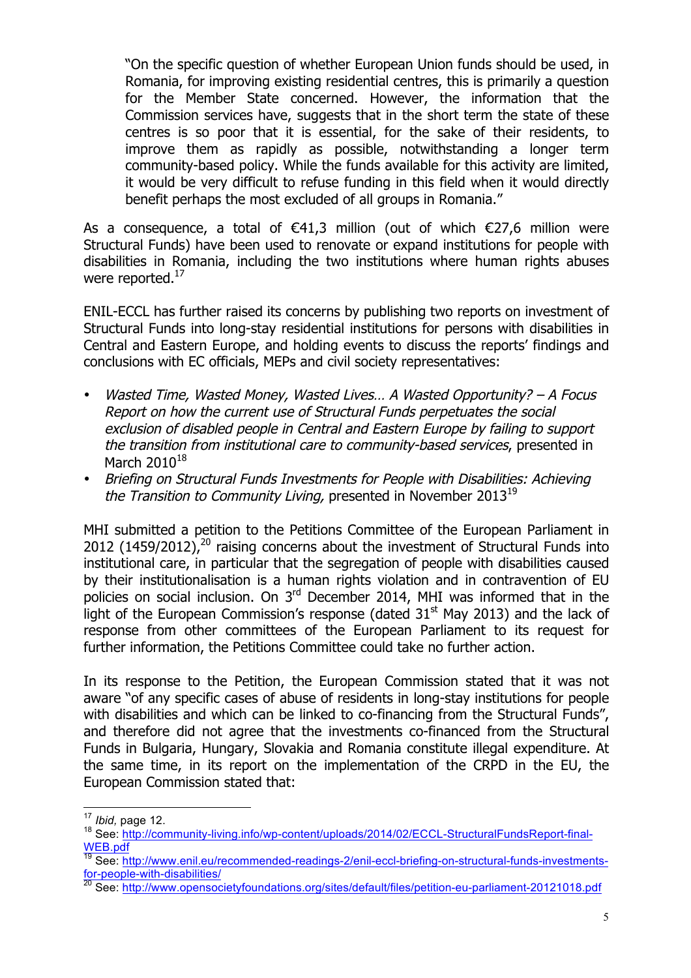"On the specific question of whether European Union funds should be used, in Romania, for improving existing residential centres, this is primarily a question for the Member State concerned. However, the information that the Commission services have, suggests that in the short term the state of these centres is so poor that it is essential, for the sake of their residents, to improve them as rapidly as possible, notwithstanding a longer term community-based policy. While the funds available for this activity are limited, it would be very difficult to refuse funding in this field when it would directly benefit perhaps the most excluded of all groups in Romania."

As a consequence, a total of  $\epsilon$ 41.3 million (out of which  $\epsilon$ 27.6 million were Structural Funds) have been used to renovate or expand institutions for people with disabilities in Romania, including the two institutions where human rights abuses were reported. $^{17}$ 

ENIL-ECCL has further raised its concerns by publishing two reports on investment of Structural Funds into long-stay residential institutions for persons with disabilities in Central and Eastern Europe, and holding events to discuss the reports' findings and conclusions with EC officials, MEPs and civil society representatives:

- Wasted Time, Wasted Money, Wasted Lives… A Wasted Opportunity? A Focus Report on how the current use of Structural Funds perpetuates the social exclusion of disabled people in Central and Eastern Europe by failing to support the transition from institutional care to community-based services, presented in March  $2010^{18}$
- Briefing on Structural Funds Investments for People with Disabilities: Achieving the Transition to Community Living, presented in November  $2013^{19}$

MHI submitted a petition to the Petitions Committee of the European Parliament in 2012 (1459/2012), $^{20}$  raising concerns about the investment of Structural Funds into institutional care, in particular that the segregation of people with disabilities caused by their institutionalisation is a human rights violation and in contravention of EU policies on social inclusion. On 3<sup>rd</sup> December 2014, MHI was informed that in the light of the European Commission's response (dated  $31<sup>st</sup>$  May 2013) and the lack of response from other committees of the European Parliament to its request for further information, the Petitions Committee could take no further action.

In its response to the Petition, the European Commission stated that it was not aware "of any specific cases of abuse of residents in long-stay institutions for people with disabilities and which can be linked to co-financing from the Structural Funds", and therefore did not agree that the investments co-financed from the Structural Funds in Bulgaria, Hungary, Slovakia and Romania constitute illegal expenditure. At the same time, in its report on the implementation of the CRPD in the EU, the European Commission stated that:

<sup>17</sup> *Ibid,* page 12.<br><sup>18</sup> See: http://community-<u>living.info/wp-content/uploads/2014/02/ECCL-StructuralFundsReport-final-</u> WEB.pdf

<sup>19</sup> See: http://www.enil.eu/recommended-readings-2/enil-eccl-briefing-on-structural-funds-investmentsfor-people-with-disabilities/

<sup>20</sup> See: http://www.opensocietyfoundations.org/sites/default/files/petition-eu-parliament-20121018.pdf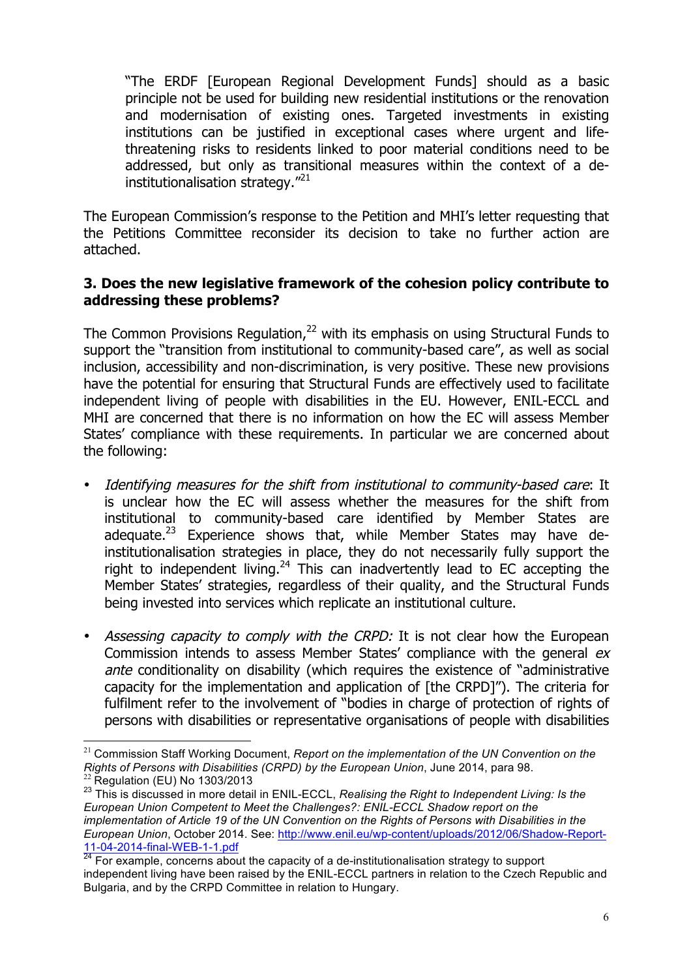"The ERDF [European Regional Development Funds] should as a basic principle not be used for building new residential institutions or the renovation and modernisation of existing ones. Targeted investments in existing institutions can be justified in exceptional cases where urgent and lifethreatening risks to residents linked to poor material conditions need to be addressed, but only as transitional measures within the context of a deinstitutionalisation strategy."<sup>21</sup>

The European Commission's response to the Petition and MHI's letter requesting that the Petitions Committee reconsider its decision to take no further action are attached.

#### **3. Does the new legislative framework of the cohesion policy contribute to addressing these problems?**

The Common Provisions Regulation, $^{22}$  with its emphasis on using Structural Funds to support the "transition from institutional to community-based care", as well as social inclusion, accessibility and non-discrimination, is very positive. These new provisions have the potential for ensuring that Structural Funds are effectively used to facilitate independent living of people with disabilities in the EU. However, ENIL-ECCL and MHI are concerned that there is no information on how the EC will assess Member States' compliance with these requirements. In particular we are concerned about the following:

- Identifying measures for the shift from institutional to community-based care: It is unclear how the EC will assess whether the measures for the shift from institutional to community-based care identified by Member States are adequate.<sup>23</sup> Experience shows that, while Member States may have deinstitutionalisation strategies in place, they do not necessarily fully support the right to independent living.<sup>24</sup> This can inadvertently lead to EC accepting the Member States' strategies, regardless of their quality, and the Structural Funds being invested into services which replicate an institutional culture.
- Assessing capacity to comply with the CRPD: It is not clear how the European Commission intends to assess Member States' compliance with the general ex ante conditionality on disability (which requires the existence of "administrative capacity for the implementation and application of [the CRPD]"). The criteria for fulfilment refer to the involvement of "bodies in charge of protection of rights of persons with disabilities or representative organisations of people with disabilities

 <sup>21</sup> Commission Staff Working Document, *Report on the implementation of the UN Convention on the Rights of Persons with Disabilities (CRPD) by the European Union*, June 2014, para 98.

<sup>&</sup>lt;sup>23</sup> This is discussed in more detail in ENIL-ECCL, *Realising the Right to Independent Living: Is the European Union Competent to Meet the Challenges?: ENIL-ECCL Shadow report on the implementation of Article 19 of the UN Convention on the Rights of Persons with Disabilities in the European Union*, October 2014. See: http://www.enil.eu/wp-content/uploads/2012/06/Shadow-Report-11-04-2014-final-WEB-1-1.pdf<br><sup>24</sup> For example, concerns about the capacity of a de-institutionalisation strategy to support

independent living have been raised by the ENIL-ECCL partners in relation to the Czech Republic and Bulgaria, and by the CRPD Committee in relation to Hungary.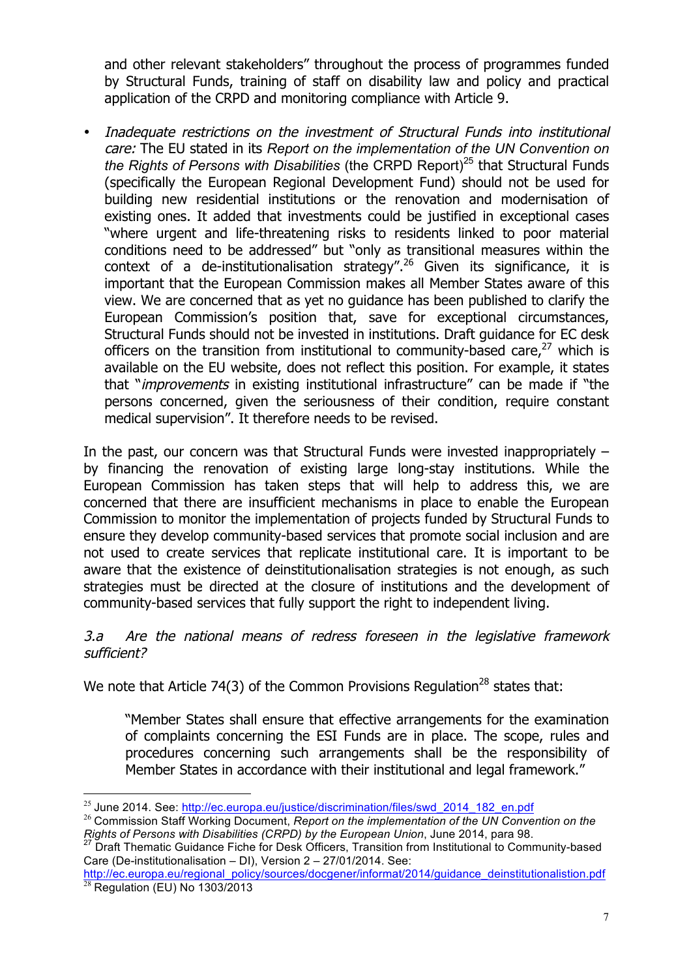and other relevant stakeholders" throughout the process of programmes funded by Structural Funds, training of staff on disability law and policy and practical application of the CRPD and monitoring compliance with Article 9.

Inadequate restrictions on the investment of Structural Funds into institutional care: The EU stated in its *Report on the implementation of the UN Convention on the Rights of Persons with Disabilities* (the CRPD Report)<sup>25</sup> that Structural Funds (specifically the European Regional Development Fund) should not be used for building new residential institutions or the renovation and modernisation of existing ones. It added that investments could be justified in exceptional cases "where urgent and life-threatening risks to residents linked to poor material conditions need to be addressed" but "only as transitional measures within the context of a de-institutionalisation strategy".<sup>26</sup> Given its significance, it is important that the European Commission makes all Member States aware of this view. We are concerned that as yet no guidance has been published to clarify the European Commission's position that, save for exceptional circumstances, Structural Funds should not be invested in institutions. Draft guidance for EC desk officers on the transition from institutional to community-based care, $^{27}$  which is available on the EU website, does not reflect this position. For example, it states that "*improvements* in existing institutional infrastructure" can be made if "the persons concerned, given the seriousness of their condition, require constant medical supervision". It therefore needs to be revised.

In the past, our concern was that Structural Funds were invested inappropriately – by financing the renovation of existing large long-stay institutions. While the European Commission has taken steps that will help to address this, we are concerned that there are insufficient mechanisms in place to enable the European Commission to monitor the implementation of projects funded by Structural Funds to ensure they develop community-based services that promote social inclusion and are not used to create services that replicate institutional care. It is important to be aware that the existence of deinstitutionalisation strategies is not enough, as such strategies must be directed at the closure of institutions and the development of community-based services that fully support the right to independent living.

#### 3.a Are the national means of redress foreseen in the legislative framework sufficient?

We note that Article 74(3) of the Common Provisions Regulation<sup>28</sup> states that:

"Member States shall ensure that effective arrangements for the examination of complaints concerning the ESI Funds are in place. The scope, rules and procedures concerning such arrangements shall be the responsibility of Member States in accordance with their institutional and legal framework."

<sup>&</sup>lt;sup>25</sup> June 2014. See: http://ec.europa.eu/justice/discrimination/files/swd\_2014\_182\_en.pdf<br><sup>26</sup> Commission Staff Working Document, *Report on the implementation of the UN Convention on the <br><i>Rights of Persons with Disabilit* 

<sup>&</sup>lt;sup>27</sup> Draft Thematic Guidance Fiche for Desk Officers, Transition from Institutional to Community-based Care (De-institutionalisation – DI), Version 2 – 27/01/2014. See:

http://ec.europa.eu/regional\_policy/sources/docgener/informat/2014/guidance\_deinstitutionalistion.pdf  $28$  Regulation (EU) No 1303/2013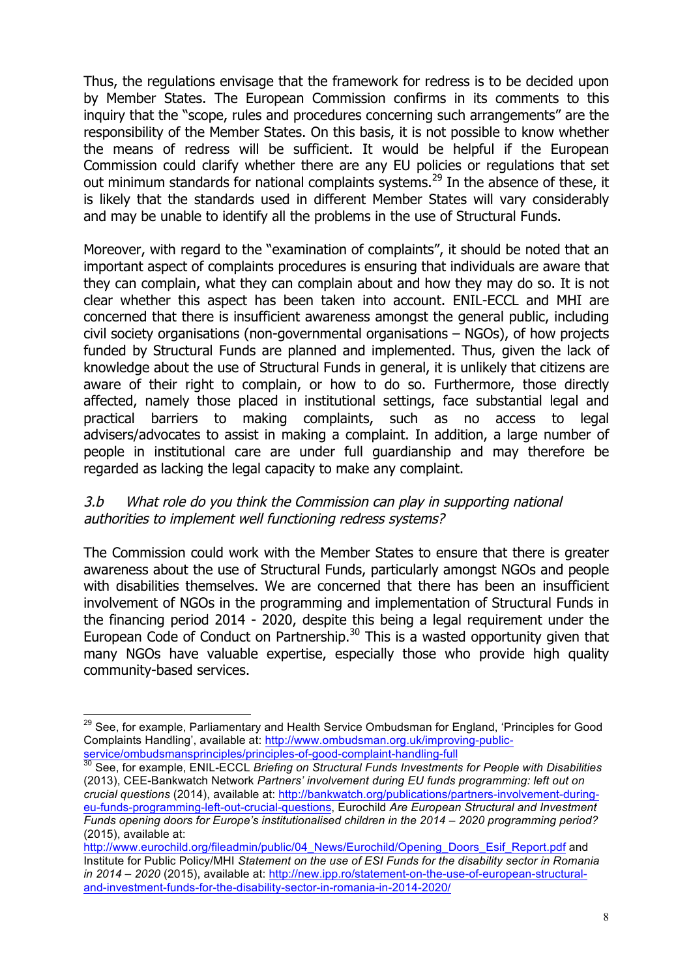Thus, the regulations envisage that the framework for redress is to be decided upon by Member States. The European Commission confirms in its comments to this inquiry that the "scope, rules and procedures concerning such arrangements" are the responsibility of the Member States. On this basis, it is not possible to know whether the means of redress will be sufficient. It would be helpful if the European Commission could clarify whether there are any EU policies or regulations that set out minimum standards for national complaints systems.<sup>29</sup> In the absence of these, it is likely that the standards used in different Member States will vary considerably and may be unable to identify all the problems in the use of Structural Funds.

Moreover, with regard to the "examination of complaints", it should be noted that an important aspect of complaints procedures is ensuring that individuals are aware that they can complain, what they can complain about and how they may do so. It is not clear whether this aspect has been taken into account. ENIL-ECCL and MHI are concerned that there is insufficient awareness amongst the general public, including civil society organisations (non-governmental organisations – NGOs), of how projects funded by Structural Funds are planned and implemented. Thus, given the lack of knowledge about the use of Structural Funds in general, it is unlikely that citizens are aware of their right to complain, or how to do so. Furthermore, those directly affected, namely those placed in institutional settings, face substantial legal and practical barriers to making complaints, such as no access to legal advisers/advocates to assist in making a complaint. In addition, a large number of people in institutional care are under full guardianship and may therefore be regarded as lacking the legal capacity to make any complaint.

#### 3.b What role do you think the Commission can play in supporting national authorities to implement well functioning redress systems?

The Commission could work with the Member States to ensure that there is greater awareness about the use of Structural Funds, particularly amongst NGOs and people with disabilities themselves. We are concerned that there has been an insufficient involvement of NGOs in the programming and implementation of Structural Funds in the financing period 2014 - 2020, despite this being a legal requirement under the European Code of Conduct on Partnership.<sup>30</sup> This is a wasted opportunity given that many NGOs have valuable expertise, especially those who provide high quality community-based services.

<sup>&</sup>lt;sup>29</sup> See, for example, Parliamentary and Health Service Ombudsman for England, 'Principles for Good Complaints Handling', available at: http://www.ombudsman.org.uk/improving-publicservice/ombudsmansprinciples/principles-of-good-complaint-handling-full

<sup>30</sup> See, for example, ENIL-ECCL *Briefing on Structural Funds Investments for People with Disabilities*  (2013), CEE-Bankwatch Network *Partners' involvement during EU funds programming: left out on crucial questions* (2014), available at: http://bankwatch.org/publications/partners-involvement-duringeu-funds-programming-left-out-crucial-questions, Eurochild *Are European Structural and Investment Funds opening doors for Europe's institutionalised children in the 2014 – 2020 programming period?* (2015), available at:

http://www.eurochild.org/fileadmin/public/04\_News/Eurochild/Opening\_Doors\_Esif\_Report.pdf and Institute for Public Policy/MHI *Statement on the use of ESI Funds for the disability sector in Romania in 2014 – 2020* (2015), available at: http://new.ipp.ro/statement-on-the-use-of-european-structuraland-investment-funds-for-the-disability-sector-in-romania-in-2014-2020/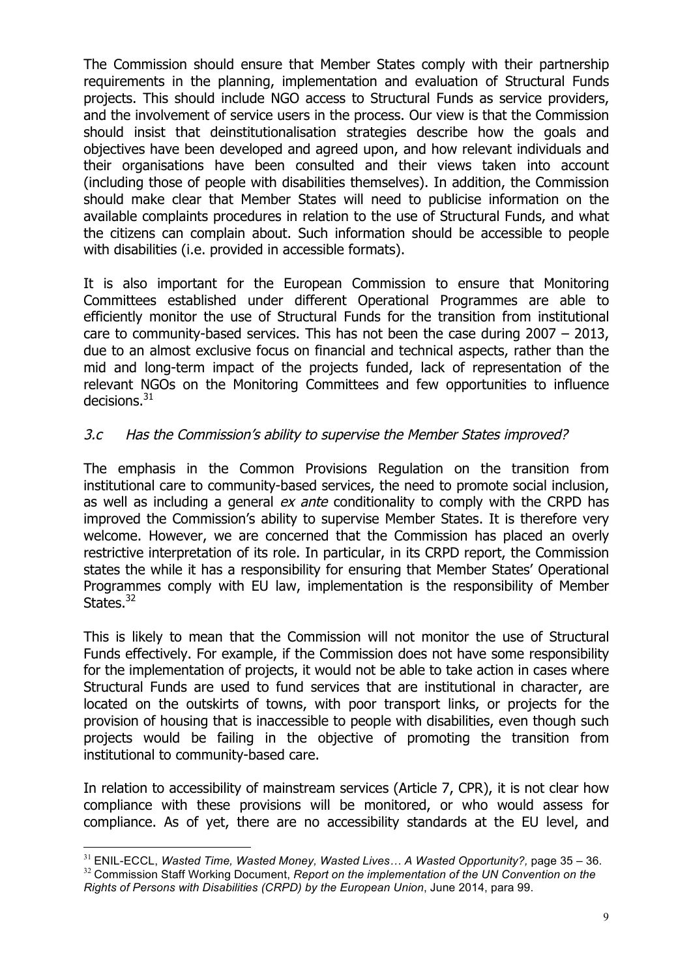The Commission should ensure that Member States comply with their partnership requirements in the planning, implementation and evaluation of Structural Funds projects. This should include NGO access to Structural Funds as service providers, and the involvement of service users in the process. Our view is that the Commission should insist that deinstitutionalisation strategies describe how the goals and objectives have been developed and agreed upon, and how relevant individuals and their organisations have been consulted and their views taken into account (including those of people with disabilities themselves). In addition, the Commission should make clear that Member States will need to publicise information on the available complaints procedures in relation to the use of Structural Funds, and what the citizens can complain about. Such information should be accessible to people with disabilities (i.e. provided in accessible formats).

It is also important for the European Commission to ensure that Monitoring Committees established under different Operational Programmes are able to efficiently monitor the use of Structural Funds for the transition from institutional care to community-based services. This has not been the case during 2007 – 2013, due to an almost exclusive focus on financial and technical aspects, rather than the mid and long-term impact of the projects funded, lack of representation of the relevant NGOs on the Monitoring Committees and few opportunities to influence  $decisions.<sup>31</sup>$ 

# 3.c Has the Commission's ability to supervise the Member States improved?

The emphasis in the Common Provisions Regulation on the transition from institutional care to community-based services, the need to promote social inclusion, as well as including a general ex ante conditionality to comply with the CRPD has improved the Commission's ability to supervise Member States. It is therefore very welcome. However, we are concerned that the Commission has placed an overly restrictive interpretation of its role. In particular, in its CRPD report, the Commission states the while it has a responsibility for ensuring that Member States' Operational Programmes comply with EU law, implementation is the responsibility of Member States.<sup>32</sup>

This is likely to mean that the Commission will not monitor the use of Structural Funds effectively. For example, if the Commission does not have some responsibility for the implementation of projects, it would not be able to take action in cases where Structural Funds are used to fund services that are institutional in character, are located on the outskirts of towns, with poor transport links, or projects for the provision of housing that is inaccessible to people with disabilities, even though such projects would be failing in the objective of promoting the transition from institutional to community-based care.

In relation to accessibility of mainstream services (Article 7, CPR), it is not clear how compliance with these provisions will be monitored, or who would assess for compliance. As of yet, there are no accessibility standards at the EU level, and

<sup>&</sup>lt;sup>31</sup> ENIL-ECCL, *Wasted Time, Wasted Money, Wasted Lives... A Wasted Opportunity?, page 35 – 36.*<br><sup>32</sup> Commission Staff Working Document, *Report on the implementation of the UN Convention on the Rights of Persons with Disabilities (CRPD) by the European Union*, June 2014, para 99.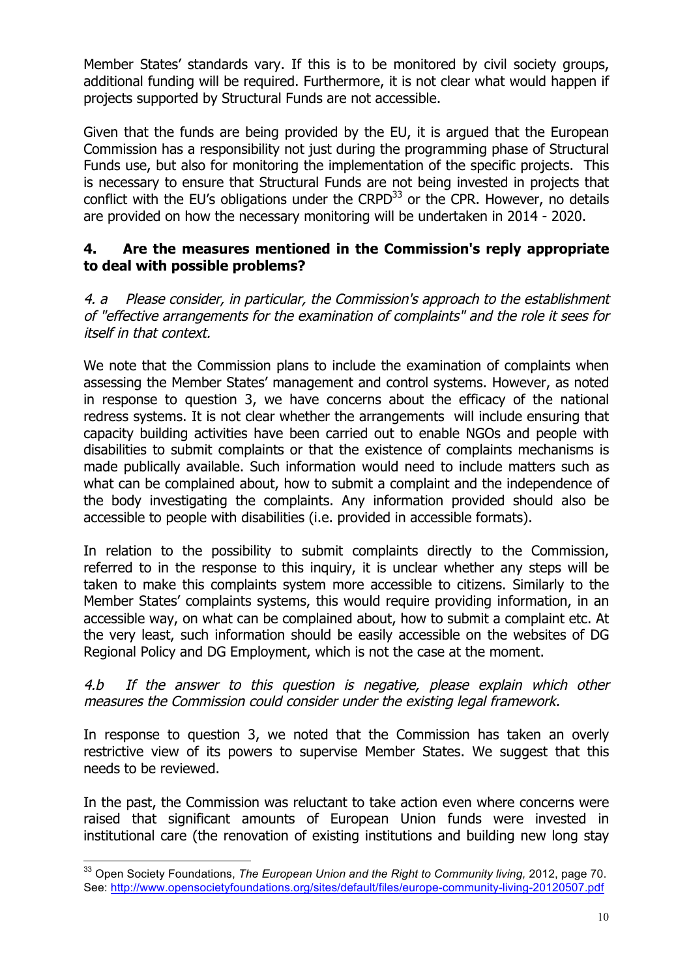Member States' standards vary. If this is to be monitored by civil society groups, additional funding will be required. Furthermore, it is not clear what would happen if projects supported by Structural Funds are not accessible.

Given that the funds are being provided by the EU, it is argued that the European Commission has a responsibility not just during the programming phase of Structural Funds use, but also for monitoring the implementation of the specific projects. This is necessary to ensure that Structural Funds are not being invested in projects that conflict with the EU's obligations under the CRPD $^{33}$  or the CPR. However, no details are provided on how the necessary monitoring will be undertaken in 2014 - 2020.

### **4. Are the measures mentioned in the Commission's reply appropriate to deal with possible problems?**

4. a Please consider, in particular, the Commission's approach to the establishment of "effective arrangements for the examination of complaints" and the role it sees for itself in that context.

We note that the Commission plans to include the examination of complaints when assessing the Member States' management and control systems. However, as noted in response to question 3, we have concerns about the efficacy of the national redress systems. It is not clear whether the arrangements will include ensuring that capacity building activities have been carried out to enable NGOs and people with disabilities to submit complaints or that the existence of complaints mechanisms is made publically available. Such information would need to include matters such as what can be complained about, how to submit a complaint and the independence of the body investigating the complaints. Any information provided should also be accessible to people with disabilities (i.e. provided in accessible formats).

In relation to the possibility to submit complaints directly to the Commission, referred to in the response to this inquiry, it is unclear whether any steps will be taken to make this complaints system more accessible to citizens. Similarly to the Member States' complaints systems, this would require providing information, in an accessible way, on what can be complained about, how to submit a complaint etc. At the very least, such information should be easily accessible on the websites of DG Regional Policy and DG Employment, which is not the case at the moment.

#### 4.b If the answer to this question is negative, please explain which other measures the Commission could consider under the existing legal framework.

In response to question 3, we noted that the Commission has taken an overly restrictive view of its powers to supervise Member States. We suggest that this needs to be reviewed.

In the past, the Commission was reluctant to take action even where concerns were raised that significant amounts of European Union funds were invested in institutional care (the renovation of existing institutions and building new long stay

<sup>33</sup> Open Society Foundations, *The European Union and the Right to Community living,* 2012, page 70. See: http://www.opensocietyfoundations.org/sites/default/files/europe-community-living-20120507.pdf